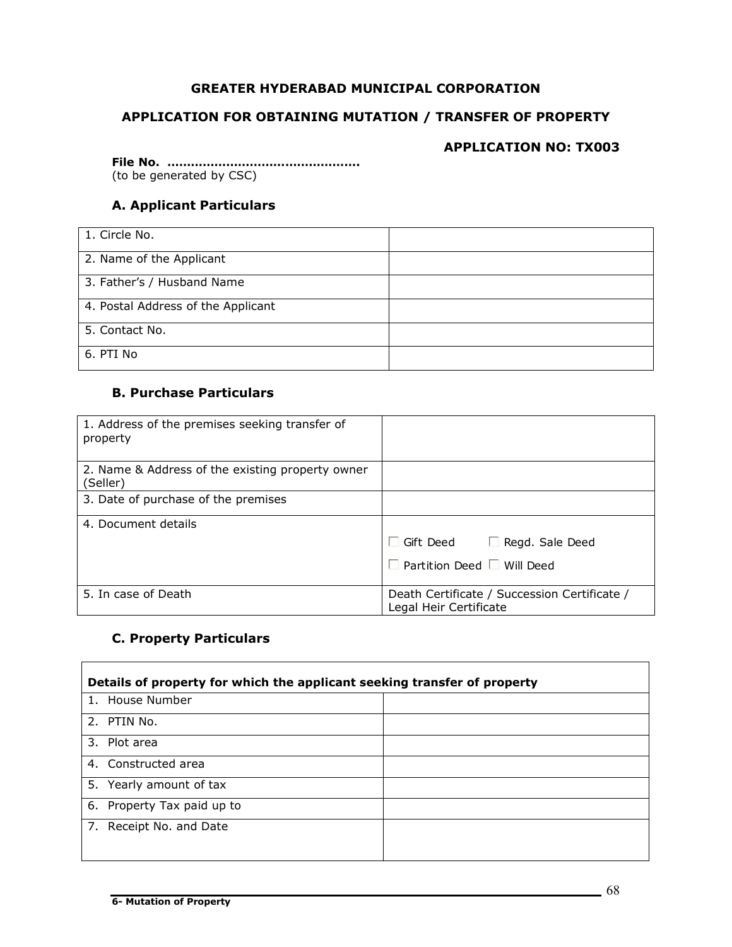## **GREATER HYDERABAD MUNICIPAL CORPORATION**

## **APPLICATION FOR OBTAINING MUTATION / TRANSFER OF PROPERTY**

## **APPLICATION NO: TX003**

**File No. ………………………………………….** (to be generated by CSC)

# **A. Applicant Particulars**

| 1. Circle No.                      |  |
|------------------------------------|--|
| 2. Name of the Applicant           |  |
| 3. Father's / Husband Name         |  |
| 4. Postal Address of the Applicant |  |
| 5. Contact No.                     |  |
| 6. PTI No                          |  |

## **B. Purchase Particulars**

| 1. Address of the premises seeking transfer of<br>property   |                                                                        |
|--------------------------------------------------------------|------------------------------------------------------------------------|
| 2. Name & Address of the existing property owner<br>(Seller) |                                                                        |
| 3. Date of purchase of the premises                          |                                                                        |
| 4. Document details                                          |                                                                        |
|                                                              | $\Box$ Gift Deed $\Box$ Regd. Sale Deed                                |
|                                                              | $\Box$ Partition Deed $\Box$ Will Deed                                 |
| 5. In case of Death                                          | Death Certificate / Succession Certificate /<br>Legal Heir Certificate |

## **C. Property Particulars**

 $\blacksquare$ 

| Details of property for which the applicant seeking transfer of property |  |  |
|--------------------------------------------------------------------------|--|--|
| 1. House Number                                                          |  |  |
| 2. PTIN No.                                                              |  |  |
| 3. Plot area                                                             |  |  |
| 4. Constructed area                                                      |  |  |
| 5. Yearly amount of tax                                                  |  |  |
| 6. Property Tax paid up to                                               |  |  |
| 7. Receipt No. and Date                                                  |  |  |
|                                                                          |  |  |

 $\overline{\mathbf{r}}$